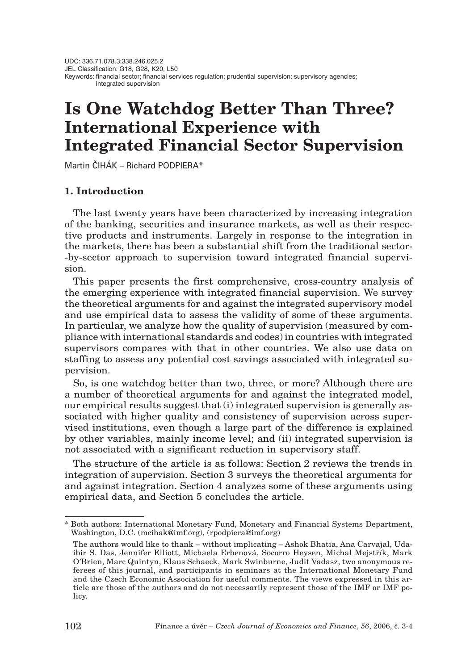# **Is One Watchdog Better Than Three? International Experience with Integrated Financial Sector Supervision**

Martin ČIHÁK – Richard PODPIERA\*

# **1. Introduction**

The last twenty years have been characterized by increasing integration of the banking, securities and insurance markets, as well as their respective products and instruments. Largely in response to the integration in the markets, there has been a substantial shift from the traditional sector- -by-sector approach to supervision toward integrated financial supervision.

This paper presents the first comprehensive, cross-country analysis of the emerging experience with integrated financial supervision. We survey the theoretical arguments for and against the integrated supervisory model and use empirical data to assess the validity of some of these arguments. In particular, we analyze how the quality of supervision (measured by compliance with international standards and codes) in countries with integrated supervisors compares with that in other countries. We also use data on staffing to assess any potential cost savings associated with integrated supervision.

So, is one watchdog better than two, three, or more? Although there are a number of theoretical arguments for and against the integrated model, our empirical results suggest that (i) integrated supervision is generally associated with higher quality and consistency of supervision across supervised institutions, even though a large part of the difference is explained by other variables, mainly income level; and (ii) integrated supervision is not associated with a significant reduction in supervisory staff.

The structure of the article is as follows: Section 2 reviews the trends in integration of supervision. Section 3 surveys the theoretical arguments for and against integration. Section 4 analyzes some of these arguments using empirical data, and Section 5 concludes the article.

<sup>\*</sup> Both authors: International Monetary Fund, Monetary and Financial Systems Department, Washington, D.C. (mcihak@imf.org), (rpodpiera@imf.org)

The authors would like to thank – without implicating – Ashok Bhatia, Ana Carvajal, Udaibir S. Das, Jennifer Elliott, Michaela Erbenová, Socorro Heysen, Michal Mejstfiík, Mark O'Brien, Marc Quintyn, Klaus Schaeck, Mark Swinburne, Judit Vadasz, two anonymous referees of this journal, and participants in seminars at the International Monetary Fund and the Czech Economic Association for useful comments. The views expressed in this article are those of the authors and do not necessarily represent those of the IMF or IMF policy.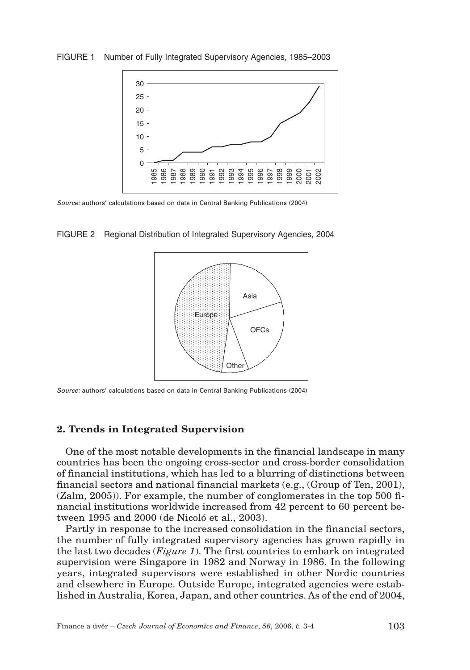FIGURE 1 Number of Fully Integrated Supervisory Agencies, 1985–2003



*Source:* authors' calculations based on data in Central Banking Publications (2004)

FIGURE 2 Regional Distribution of Integrated Supervisory Agencies, 2004



*Source:* authors' calculations based on data in Central Banking Publications (2004)

### **2. Trends in Integrated Supervision**

One of the most notable developments in the financial landscape in many countries has been the ongoing cross-sector and cross-border consolidation of financial institutions, which has led to a blurring of distinctions between financial sectors and national financial markets (e.g., (Group of Ten, 2001), (Zalm, 2005)). For example, the number of conglomerates in the top 500 financial institutions worldwide increased from 42 percent to 60 percent between 1995 and 2000 (de Nicoló et al., 2003).

Partly in response to the increased consolidation in the financial sectors, the number of fully integrated supervisory agencies has grown rapidly in the last two decades (*Figure 1*). The first countries to embark on integrated supervision were Singapore in 1982 and Norway in 1986. In the following years, integrated supervisors were established in other Nordic countries and elsewhere in Europe. Outside Europe, integrated agencies were established in Australia, Korea, Japan, and other countries. As of the end of 2004,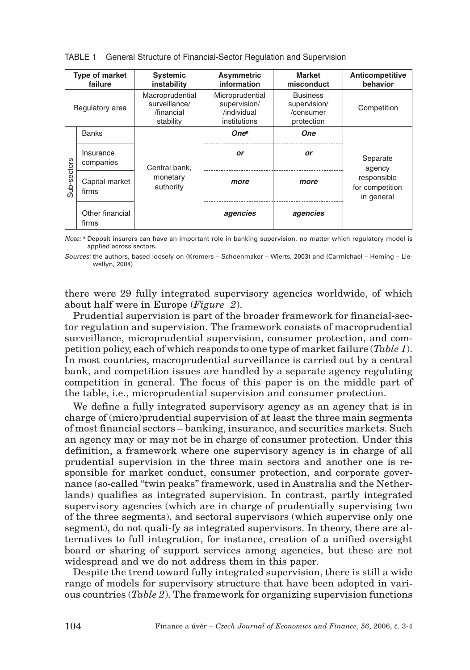| <b>Type of market</b><br>failure |                          | <b>Systemic</b><br>instability                              | Asymmetric<br>information                                      | <b>Market</b><br>misconduct                                | Anticompetitive<br>behavior                  |  |
|----------------------------------|--------------------------|-------------------------------------------------------------|----------------------------------------------------------------|------------------------------------------------------------|----------------------------------------------|--|
|                                  | Regulatory area          | Macroprudential<br>surveillance/<br>/financial<br>stability | Microprudential<br>supervision/<br>/individual<br>institutions | <b>Business</b><br>supervision/<br>/consumer<br>protection | Competition                                  |  |
|                                  | <b>Banks</b>             |                                                             | One <sup>a</sup>                                               | One                                                        |                                              |  |
|                                  | Insurance<br>companies   | Central bank,                                               | or                                                             | or                                                         | Separate<br>agency                           |  |
| Sub-sectors                      | Capital market<br>firms  | monetary<br>authority                                       | more                                                           | more                                                       | responsible<br>for competition<br>in general |  |
|                                  | Other financial<br>firms |                                                             | agencies                                                       | agencies                                                   |                                              |  |

TABLE 1 General Structure of Financial-Sector Regulation and Supervision

*Note:* a Deposit insurers can have an important role in banking supervision, no matter which regulatory model is applied across sectors.

*Sources:* the authors, based loosely on (Kremers – Schoenmaker – Wierts, 2003) and (Carmichael – Heming – Llewellyn, 2004)

there were 29 fully integrated supervisory agencies worldwide, of which about half were in Europe (*Figure 2*).

Prudential supervision is part of the broader framework for financial-sector regulation and supervision. The framework consists of macroprudential surveillance, microprudential supervision, consumer protection, and competition policy, each of which responds to one type of market failure (*Table 1*). In most countries, macroprudential surveillance is carried out by a central bank, and competition issues are handled by a separate agency regulating competition in general. The focus of this paper is on the middle part of the table, i.e., microprudential supervision and consumer protection.

We define a fully integrated supervisory agency as an agency that is in charge of (micro)prudential supervision of at least the three main segments of most financial sectors – banking, insurance, and securities markets. Such an agency may or may not be in charge of consumer protection. Under this definition, a framework where one supervisory agency is in charge of all prudential supervision in the three main sectors and another one is responsible for market conduct, consumer protection, and corporate governance (so-called "twin peaks" framework, used in Australia and the Netherlands) qualifies as integrated supervision. In contrast, partly integrated supervisory agencies (which are in charge of prudentially supervising two of the three segments), and sectoral supervisors (which supervise only one segment), do not quali-fy as integrated supervisors. In theory, there are alternatives to full integration, for instance, creation of a unified oversight board or sharing of support services among agencies, but these are not widespread and we do not address them in this paper.

Despite the trend toward fully integrated supervision, there is still a wide range of models for supervisory structure that have been adopted in various countries (*Table 2*). The framework for organizing supervision functions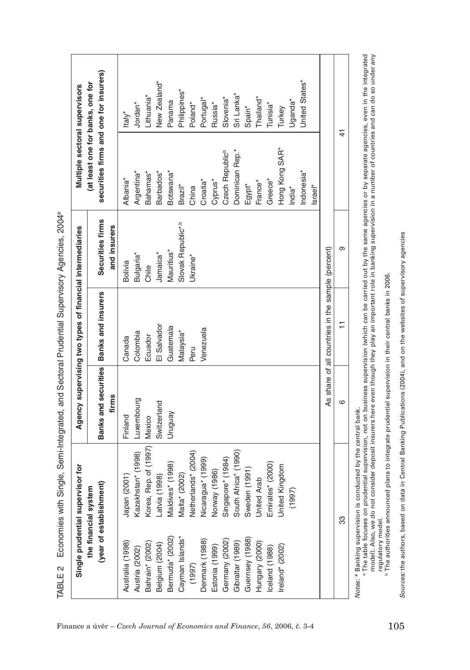| Single prudential su                        | <b>pervisor</b> for                                                                                                                                                                                                                      |                                                                                                                  | Agency supervising two types of financial intermediaries |                                  | Multiple sectoral supervisors                                                                                                                      |                                        |
|---------------------------------------------|------------------------------------------------------------------------------------------------------------------------------------------------------------------------------------------------------------------------------------------|------------------------------------------------------------------------------------------------------------------|----------------------------------------------------------|----------------------------------|----------------------------------------------------------------------------------------------------------------------------------------------------|----------------------------------------|
|                                             | (year of establishment)<br>the financial system                                                                                                                                                                                          | Banks and securities<br>firms                                                                                    | Banks and insurers                                       | Securities firms<br>and insurers | securities firms and one for insurers)<br>(at least one for banks, one for                                                                         |                                        |
| Australia (1998)                            | Japan (2001)                                                                                                                                                                                                                             | Finland                                                                                                          | Canada                                                   | Bolivia                          | Albania <sup>*</sup>                                                                                                                               | Italy*                                 |
| Austria (2002)                              | Kazakhstan* (1998)                                                                                                                                                                                                                       | Luxembourg                                                                                                       | Colombia                                                 | Bulgaria*                        | Argentina*                                                                                                                                         | Jordan <sup>*</sup>                    |
| Bahrain* (2002)<br>Belgium (2004)           | Korea, Rep. of (1997)<br>Latvia (1998)                                                                                                                                                                                                   | Switzerland<br>Mexico                                                                                            | El Salvador<br>Ecuador                                   | Jamaica*<br>Chile                | Barbados*<br>Bahamas <sup>*</sup>                                                                                                                  | New Zealand*<br>Lithuania <sup>*</sup> |
| Bermuda* (2002)                             | Maldives* (1998)                                                                                                                                                                                                                         | Venbnun                                                                                                          | Guatemala                                                | Mauritius*                       | Botswana*                                                                                                                                          | Panama                                 |
| Cayman Islands*                             | Malta* (2002)                                                                                                                                                                                                                            |                                                                                                                  | Malaysia*                                                | Slovak Republic*.b               | Brazil*                                                                                                                                            | Philippines <sup>*</sup>               |
| (1997)                                      | Netherlands* (2004)                                                                                                                                                                                                                      |                                                                                                                  | Peru                                                     | Ukraine*                         | China                                                                                                                                              | Poland*                                |
| Denmark (1988)                              | Nicaragua* (1999)                                                                                                                                                                                                                        |                                                                                                                  | Venezuela                                                |                                  | Croatia <sup>*</sup>                                                                                                                               | Portugal*                              |
| Estonia (1999)                              | Norway (1986)                                                                                                                                                                                                                            |                                                                                                                  |                                                          |                                  | Cyprus*                                                                                                                                            | Russia*                                |
| Germany (2002)                              | Singapore* (1984)                                                                                                                                                                                                                        |                                                                                                                  |                                                          |                                  | Czech Republic <sup>b</sup>                                                                                                                        | Slovenia*                              |
| Gibraltar (1989)                            | South Africa* (1990)                                                                                                                                                                                                                     |                                                                                                                  |                                                          |                                  | Dominican Rep.*                                                                                                                                    | Sri Lanka*                             |
| Guernsey (1988)                             | Sweden (1991)                                                                                                                                                                                                                            |                                                                                                                  |                                                          |                                  | Egypt*                                                                                                                                             | Spain*                                 |
| Hungary (2000)                              | United Arab                                                                                                                                                                                                                              |                                                                                                                  |                                                          |                                  | France*                                                                                                                                            | "hailand"                              |
| Iceland (1988)                              | Emirates* (2000)                                                                                                                                                                                                                         |                                                                                                                  |                                                          |                                  | Greece*                                                                                                                                            | Tunisia <sup>*</sup>                   |
| reland* (2002)                              | ited Kingdom<br>$\overline{5}$                                                                                                                                                                                                           |                                                                                                                  |                                                          |                                  | Hong Kong SAR*                                                                                                                                     | Turkey                                 |
|                                             | (1997)                                                                                                                                                                                                                                   |                                                                                                                  |                                                          |                                  | India <sup>*</sup>                                                                                                                                 | ∪ganda*                                |
|                                             |                                                                                                                                                                                                                                          |                                                                                                                  |                                                          |                                  | Indonesia*                                                                                                                                         | United States*                         |
|                                             |                                                                                                                                                                                                                                          |                                                                                                                  |                                                          |                                  | Israel*                                                                                                                                            |                                        |
|                                             |                                                                                                                                                                                                                                          |                                                                                                                  | As share of all countries in the sample (percent)        |                                  |                                                                                                                                                    |                                        |
|                                             | 33                                                                                                                                                                                                                                       | ဖ                                                                                                                | H                                                        | တ                                |                                                                                                                                                    | $\frac{4}{1}$                          |
| a The table focuses on<br>regulatory model. | model). Also, we do not consider deposit insurers here even though they play an important role in banking supervision in a number of countries and can do so under any<br>Notes: * Banking supervision is conducted by the central bank. | <sup>b</sup> The authorities announced plans to integrate prudential supervision in their central banks in 2006. |                                                          |                                  | prudential supervision, not on business supervision (which can be carried out by the same agencies or by separate agencies, even in the integrated |                                        |

TABLE 2 Economies with Single, Semi-Integrated, and Sectoral Prudential Supervisory Agencies, 2004a

*Sources:* the authors, based on data in Central Banking Publications (2004), and on the websites of supervisory agencies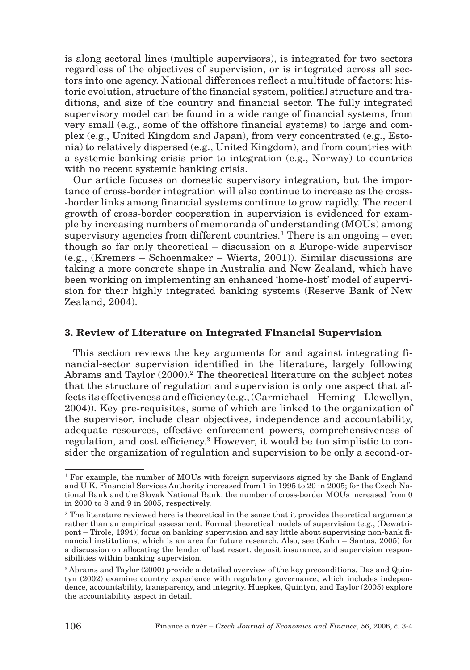is along sectoral lines (multiple supervisors), is integrated for two sectors regardless of the objectives of supervision, or is integrated across all sectors into one agency. National differences reflect a multitude of factors: historic evolution, structure of the financial system, political structure and traditions, and size of the country and financial sector. The fully integrated supervisory model can be found in a wide range of financial systems, from very small (e.g., some of the offshore financial systems) to large and complex (e.g., United Kingdom and Japan), from very concentrated (e.g., Estonia) to relatively dispersed (e.g., United Kingdom), and from countries with a systemic banking crisis prior to integration (e.g., Norway) to countries with no recent systemic banking crisis.

Our article focuses on domestic supervisory integration, but the importance of cross-border integration will also continue to increase as the cross- -border links among financial systems continue to grow rapidly. The recent growth of cross-border cooperation in supervision is evidenced for example by increasing numbers of memoranda of understanding (MOUs) among supervisory agencies from different countries.<sup>1</sup> There is an ongoing – even though so far only theoretical – discussion on a Europe-wide supervisor (e.g., (Kremers – Schoenmaker – Wierts, 2001)). Similar discussions are taking a more concrete shape in Australia and New Zealand, which have been working on implementing an enhanced 'home-host' model of supervision for their highly integrated banking systems (Reserve Bank of New Zealand, 2004).

#### **3. Review of Literature on Integrated Financial Supervision**

This section reviews the key arguments for and against integrating financial-sector supervision identified in the literature, largely following Abrams and Taylor (2000).<sup>2</sup> The theoretical literature on the subject notes that the structure of regulation and supervision is only one aspect that affects its effectiveness and efficiency (e.g., (Carmichael – Heming – Llewellyn, 2004)). Key pre-requisites, some of which are linked to the organization of the supervisor, include clear objectives, independence and accountability, adequate resources, effective enforcement powers, comprehensiveness of regulation, and cost efficiency.3 However, it would be too simplistic to consider the organization of regulation and supervision to be only a second-or-

<sup>&</sup>lt;sup>1</sup> For example, the number of MOUs with foreign supervisors signed by the Bank of England and U.K. Financial Services Authority increased from 1 in 1995 to 20 in 2005; for the Czech National Bank and the Slovak National Bank, the number of cross-border MOUs increased from 0 in 2000 to 8 and 9 in 2005, respectively.

<sup>&</sup>lt;sup>2</sup> The literature reviewed here is theoretical in the sense that it provides theoretical arguments rather than an empirical assessment. Formal theoretical models of supervision (e.g., (Dewatripont – Tirole, 1994)) focus on banking supervision and say little about supervising non-bank financial institutions, which is an area for future research. Also, see (Kahn – Santos, 2005) for a discussion on allocating the lender of last resort, deposit insurance, and supervision responsibilities within banking supervision.

<sup>&</sup>lt;sup>3</sup> Abrams and Taylor (2000) provide a detailed overview of the key preconditions. Das and Quintyn (2002) examine country experience with regulatory governance, which includes independence, accountability, transparency, and integrity. Huepkes, Quintyn, and Taylor (2005) explore the accountability aspect in detail.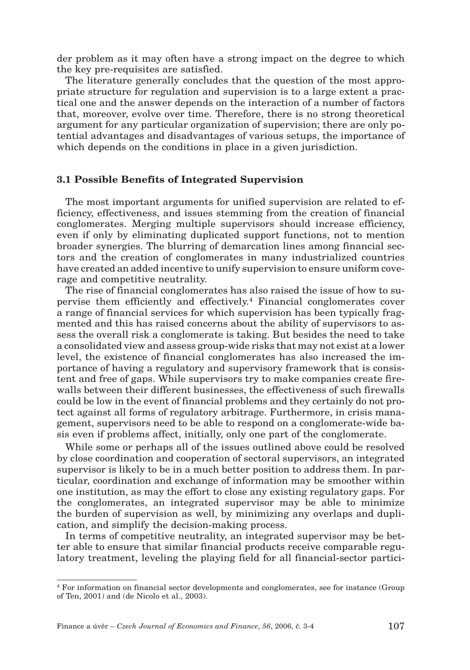der problem as it may often have a strong impact on the degree to which the key pre-requisites are satisfied.

The literature generally concludes that the question of the most appropriate structure for regulation and supervision is to a large extent a practical one and the answer depends on the interaction of a number of factors that, moreover, evolve over time. Therefore, there is no strong theoretical argument for any particular organization of supervision; there are only potential advantages and disadvantages of various setups, the importance of which depends on the conditions in place in a given jurisdiction.

#### **3.1 Possible Benefits of Integrated Supervision**

The most important arguments for unified supervision are related to efficiency, effectiveness, and issues stemming from the creation of financial conglomerates. Merging multiple supervisors should increase efficiency, even if only by eliminating duplicated support functions, not to mention broader synergies. The blurring of demarcation lines among financial sectors and the creation of conglomerates in many industrialized countries have created an added incentive to unify supervision to ensure uniform coverage and competitive neutrality.

The rise of financial conglomerates has also raised the issue of how to supervise them efficiently and effectively.4 Financial conglomerates cover a range of financial services for which supervision has been typically fragmented and this has raised concerns about the ability of supervisors to assess the overall risk a conglomerate is taking. But besides the need to take a consolidated view and assess group-wide risks that may not exist at a lower level, the existence of financial conglomerates has also increased the importance of having a regulatory and supervisory framework that is consistent and free of gaps. While supervisors try to make companies create firewalls between their different businesses, the effectiveness of such firewalls could be low in the event of financial problems and they certainly do not protect against all forms of regulatory arbitrage. Furthermore, in crisis management, supervisors need to be able to respond on a conglomerate-wide basis even if problems affect, initially, only one part of the conglomerate.

While some or perhaps all of the issues outlined above could be resolved by close coordination and cooperation of sectoral supervisors, an integrated supervisor is likely to be in a much better position to address them. In particular, coordination and exchange of information may be smoother within one institution, as may the effort to close any existing regulatory gaps. For the conglomerates, an integrated supervisor may be able to minimize the burden of supervision as well, by minimizing any overlaps and duplication, and simplify the decision-making process.

In terms of competitive neutrality, an integrated supervisor may be better able to ensure that similar financial products receive comparable regulatory treatment, leveling the playing field for all financial-sector partici-

<sup>4</sup> For information on financial sector developments and conglomerates, see for instance (Group of Ten, 2001) and (de Nicolo et al., 2003).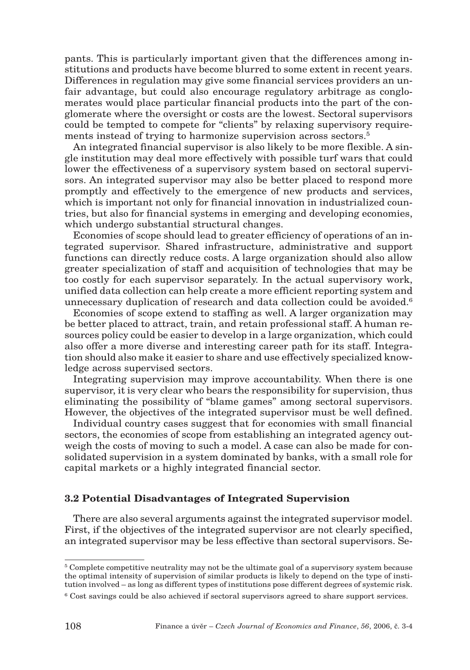pants. This is particularly important given that the differences among institutions and products have become blurred to some extent in recent years. Differences in regulation may give some financial services providers an unfair advantage, but could also encourage regulatory arbitrage as conglomerates would place particular financial products into the part of the conglomerate where the oversight or costs are the lowest. Sectoral supervisors could be tempted to compete for "clients" by relaxing supervisory requirements instead of trying to harmonize supervision across sectors.<sup>5</sup>

An integrated financial supervisor is also likely to be more flexible. A single institution may deal more effectively with possible turf wars that could lower the effectiveness of a supervisory system based on sectoral supervisors. An integrated supervisor may also be better placed to respond more promptly and effectively to the emergence of new products and services, which is important not only for financial innovation in industrialized countries, but also for financial systems in emerging and developing economies, which undergo substantial structural changes.

Economies of scope should lead to greater efficiency of operations of an integrated supervisor. Shared infrastructure, administrative and support functions can directly reduce costs. A large organization should also allow greater specialization of staff and acquisition of technologies that may be too costly for each supervisor separately. In the actual supervisory work, unified data collection can help create a more efficient reporting system and unnecessary duplication of research and data collection could be avoided.<sup>6</sup>

Economies of scope extend to staffing as well. A larger organization may be better placed to attract, train, and retain professional staff. A human resources policy could be easier to develop in a large organization, which could also offer a more diverse and interesting career path for its staff. Integration should also make it easier to share and use effectively specialized knowledge across supervised sectors.

Integrating supervision may improve accountability. When there is one supervisor, it is very clear who bears the responsibility for supervision, thus eliminating the possibility of "blame games" among sectoral supervisors. However, the objectives of the integrated supervisor must be well defined.

Individual country cases suggest that for economies with small financial sectors, the economies of scope from establishing an integrated agency outweigh the costs of moving to such a model. A case can also be made for consolidated supervision in a system dominated by banks, with a small role for capital markets or a highly integrated financial sector.

#### **3.2 Potential Disadvantages of Integrated Supervision**

There are also several arguments against the integrated supervisor model. First, if the objectives of the integrated supervisor are not clearly specified, an integrated supervisor may be less effective than sectoral supervisors. Se-

<sup>5</sup> Complete competitive neutrality may not be the ultimate goal of a supervisory system because the optimal intensity of supervision of similar products is likely to depend on the type of institution involved – as long as different types of institutions pose different degrees of systemic risk.

<sup>6</sup> Cost savings could be also achieved if sectoral supervisors agreed to share support services.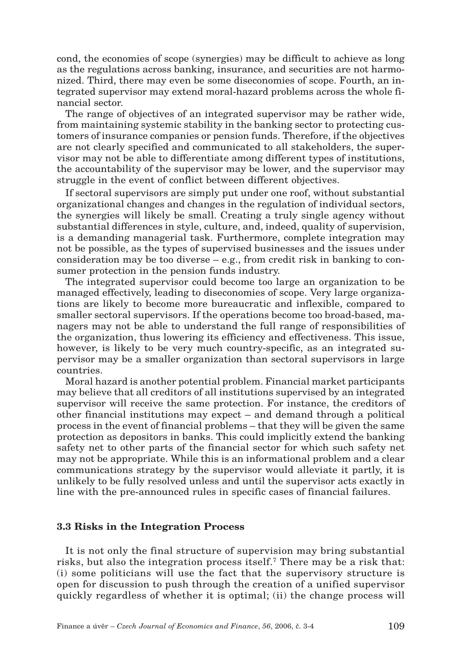cond, the economies of scope (synergies) may be difficult to achieve as long as the regulations across banking, insurance, and securities are not harmonized. Third, there may even be some diseconomies of scope. Fourth, an integrated supervisor may extend moral-hazard problems across the whole financial sector.

The range of objectives of an integrated supervisor may be rather wide, from maintaining systemic stability in the banking sector to protecting customers of insurance companies or pension funds. Therefore, if the objectives are not clearly specified and communicated to all stakeholders, the supervisor may not be able to differentiate among different types of institutions, the accountability of the supervisor may be lower, and the supervisor may struggle in the event of conflict between different objectives.

If sectoral supervisors are simply put under one roof, without substantial organizational changes and changes in the regulation of individual sectors, the synergies will likely be small. Creating a truly single agency without substantial differences in style, culture, and, indeed, quality of supervision, is a demanding managerial task. Furthermore, complete integration may not be possible, as the types of supervised businesses and the issues under consideration may be too diverse – e.g., from credit risk in banking to consumer protection in the pension funds industry.

The integrated supervisor could become too large an organization to be managed effectively, leading to diseconomies of scope. Very large organizations are likely to become more bureaucratic and inflexible, compared to smaller sectoral supervisors. If the operations become too broad-based, managers may not be able to understand the full range of responsibilities of the organization, thus lowering its efficiency and effectiveness. This issue, however, is likely to be very much country-specific, as an integrated supervisor may be a smaller organization than sectoral supervisors in large countries.

Moral hazard is another potential problem. Financial market participants may believe that all creditors of all institutions supervised by an integrated supervisor will receive the same protection. For instance, the creditors of other financial institutions may expect – and demand through a political process in the event of financial problems – that they will be given the same protection as depositors in banks. This could implicitly extend the banking safety net to other parts of the financial sector for which such safety net may not be appropriate. While this is an informational problem and a clear communications strategy by the supervisor would alleviate it partly, it is unlikely to be fully resolved unless and until the supervisor acts exactly in line with the pre-announced rules in specific cases of financial failures.

#### **3.3 Risks in the Integration Process**

It is not only the final structure of supervision may bring substantial risks, but also the integration process itself.<sup>7</sup> There may be a risk that: (i) some politicians will use the fact that the supervisory structure is open for discussion to push through the creation of a unified supervisor quickly regardless of whether it is optimal; (ii) the change process will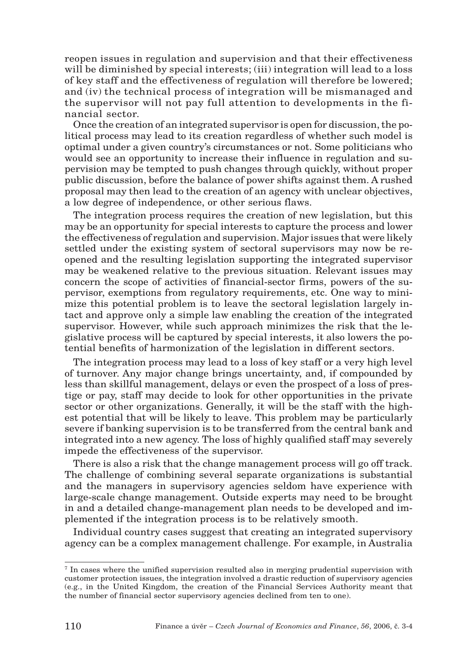reopen issues in regulation and supervision and that their effectiveness will be diminished by special interests; (iii) integration will lead to a loss of key staff and the effectiveness of regulation will therefore be lowered; and (iv) the technical process of integration will be mismanaged and the supervisor will not pay full attention to developments in the financial sector.

Once the creation of an integrated supervisor is open for discussion, the political process may lead to its creation regardless of whether such model is optimal under a given country's circumstances or not. Some politicians who would see an opportunity to increase their influence in regulation and supervision may be tempted to push changes through quickly, without proper public discussion, before the balance of power shifts against them. A rushed proposal may then lead to the creation of an agency with unclear objectives, a low degree of independence, or other serious flaws.

The integration process requires the creation of new legislation, but this may be an opportunity for special interests to capture the process and lower the effectiveness of regulation and supervision. Major issues that were likely settled under the existing system of sectoral supervisors may now be reopened and the resulting legislation supporting the integrated supervisor may be weakened relative to the previous situation. Relevant issues may concern the scope of activities of financial-sector firms, powers of the supervisor, exemptions from regulatory requirements, etc. One way to minimize this potential problem is to leave the sectoral legislation largely intact and approve only a simple law enabling the creation of the integrated supervisor. However, while such approach minimizes the risk that the legislative process will be captured by special interests, it also lowers the potential benefits of harmonization of the legislation in different sectors.

The integration process may lead to a loss of key staff or a very high level of turnover. Any major change brings uncertainty, and, if compounded by less than skillful management, delays or even the prospect of a loss of prestige or pay, staff may decide to look for other opportunities in the private sector or other organizations. Generally, it will be the staff with the highest potential that will be likely to leave. This problem may be particularly severe if banking supervision is to be transferred from the central bank and integrated into a new agency. The loss of highly qualified staff may severely impede the effectiveness of the supervisor.

There is also a risk that the change management process will go off track. The challenge of combining several separate organizations is substantial and the managers in supervisory agencies seldom have experience with large-scale change management. Outside experts may need to be brought in and a detailed change-management plan needs to be developed and implemented if the integration process is to be relatively smooth.

Individual country cases suggest that creating an integrated supervisory agency can be a complex management challenge. For example, in Australia

<sup>7</sup> In cases where the unified supervision resulted also in merging prudential supervision with customer protection issues, the integration involved a drastic reduction of supervisory agencies (e.g., in the United Kingdom, the creation of the Financial Services Authority meant that the number of financial sector supervisory agencies declined from ten to one).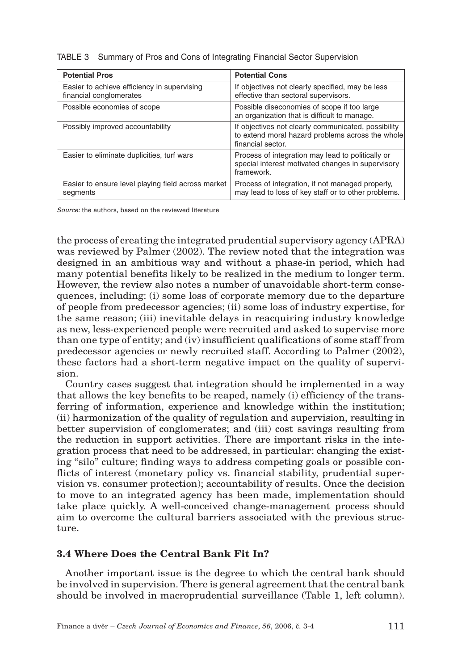| <b>Potential Pros</b>                                                  | <b>Potential Cons</b>                                                                                                        |
|------------------------------------------------------------------------|------------------------------------------------------------------------------------------------------------------------------|
| Easier to achieve efficiency in supervising<br>financial conglomerates | If objectives not clearly specified, may be less<br>effective than sectoral supervisors.                                     |
| Possible economies of scope                                            | Possible diseconomies of scope if too large<br>an organization that is difficult to manage.                                  |
| Possibly improved accountability                                       | If objectives not clearly communicated, possibility<br>to extend moral hazard problems across the whole<br>financial sector. |
| Easier to eliminate duplicities, turf wars                             | Process of integration may lead to politically or<br>special interest motivated changes in supervisory<br>framework.         |
| Easier to ensure level playing field across market<br>segments         | Process of integration, if not managed properly,<br>may lead to loss of key staff or to other problems.                      |

TABLE 3 Summary of Pros and Cons of Integrating Financial Sector Supervision

*Source:* the authors, based on the reviewed literature

the process of creating the integrated prudential supervisory agency (APRA) was reviewed by Palmer (2002). The review noted that the integration was designed in an ambitious way and without a phase-in period, which had many potential benefits likely to be realized in the medium to longer term. However, the review also notes a number of unavoidable short-term consequences, including: (i) some loss of corporate memory due to the departure of people from predecessor agencies; (ii) some loss of industry expertise, for the same reason; (iii) inevitable delays in reacquiring industry knowledge as new, less-experienced people were recruited and asked to supervise more than one type of entity; and (iv) insufficient qualifications of some staff from predecessor agencies or newly recruited staff. According to Palmer (2002), these factors had a short-term negative impact on the quality of supervision.

Country cases suggest that integration should be implemented in a way that allows the key benefits to be reaped, namely (i) efficiency of the transferring of information, experience and knowledge within the institution; (ii) harmonization of the quality of regulation and supervision, resulting in better supervision of conglomerates; and (iii) cost savings resulting from the reduction in support activities. There are important risks in the integration process that need to be addressed, in particular: changing the existing "silo" culture; finding ways to address competing goals or possible conflicts of interest (monetary policy vs. financial stability, prudential supervision vs. consumer protection); accountability of results. Once the decision to move to an integrated agency has been made, implementation should take place quickly. A well-conceived change-management process should aim to overcome the cultural barriers associated with the previous structure.

# **3.4 Where Does the Central Bank Fit In?**

Another important issue is the degree to which the central bank should be involved in supervision. There is general agreement that the central bank should be involved in macroprudential surveillance (Table 1, left column).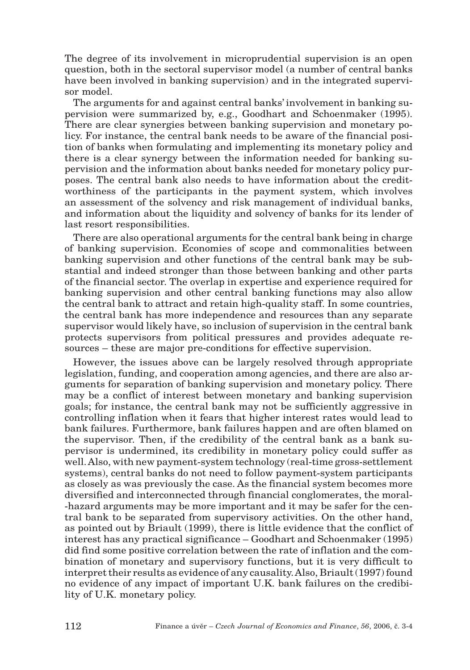The degree of its involvement in microprudential supervision is an open question, both in the sectoral supervisor model (a number of central banks have been involved in banking supervision) and in the integrated supervisor model.

The arguments for and against central banks' involvement in banking supervision were summarized by, e.g., Goodhart and Schoenmaker (1995). There are clear synergies between banking supervision and monetary policy. For instance, the central bank needs to be aware of the financial position of banks when formulating and implementing its monetary policy and there is a clear synergy between the information needed for banking supervision and the information about banks needed for monetary policy purposes. The central bank also needs to have information about the creditworthiness of the participants in the payment system, which involves an assessment of the solvency and risk management of individual banks, and information about the liquidity and solvency of banks for its lender of last resort responsibilities.

There are also operational arguments for the central bank being in charge of banking supervision. Economies of scope and commonalities between banking supervision and other functions of the central bank may be substantial and indeed stronger than those between banking and other parts of the financial sector. The overlap in expertise and experience required for banking supervision and other central banking functions may also allow the central bank to attract and retain high-quality staff. In some countries, the central bank has more independence and resources than any separate supervisor would likely have, so inclusion of supervision in the central bank protects supervisors from political pressures and provides adequate resources – these are major pre-conditions for effective supervision.

However, the issues above can be largely resolved through appropriate legislation, funding, and cooperation among agencies, and there are also arguments for separation of banking supervision and monetary policy. There may be a conflict of interest between monetary and banking supervision goals; for instance, the central bank may not be sufficiently aggressive in controlling inflation when it fears that higher interest rates would lead to bank failures. Furthermore, bank failures happen and are often blamed on the supervisor. Then, if the credibility of the central bank as a bank supervisor is undermined, its credibility in monetary policy could suffer as well. Also, with new payment-system technology (real-time gross-settlement systems), central banks do not need to follow payment-system participants as closely as was previously the case. As the financial system becomes more diversified and interconnected through financial conglomerates, the moral- -hazard arguments may be more important and it may be safer for the central bank to be separated from supervisory activities. On the other hand, as pointed out by Briault (1999), there is little evidence that the conflict of interest has any practical significance – Goodhart and Schoenmaker (1995) did find some positive correlation between the rate of inflation and the combination of monetary and supervisory functions, but it is very difficult to interpret their results as evidence of any causality. Also, Briault (1997) found no evidence of any impact of important U.K. bank failures on the credibility of U.K. monetary policy.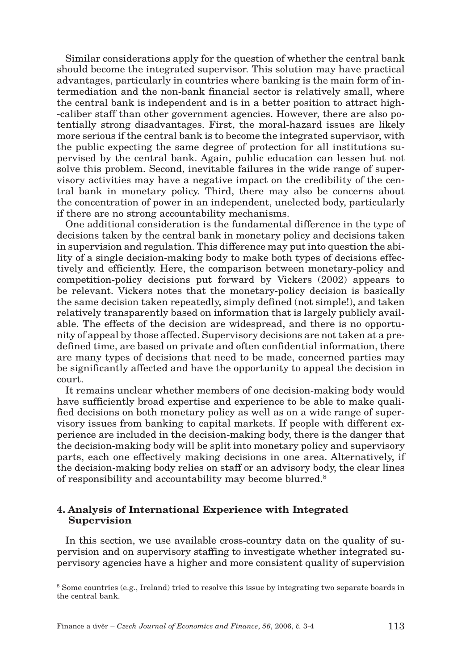Similar considerations apply for the question of whether the central bank should become the integrated supervisor. This solution may have practical advantages, particularly in countries where banking is the main form of intermediation and the non-bank financial sector is relatively small, where the central bank is independent and is in a better position to attract high- -caliber staff than other government agencies. However, there are also potentially strong disadvantages. First, the moral-hazard issues are likely more serious if the central bank is to become the integrated supervisor, with the public expecting the same degree of protection for all institutions supervised by the central bank. Again, public education can lessen but not solve this problem. Second, inevitable failures in the wide range of supervisory activities may have a negative impact on the credibility of the central bank in monetary policy. Third, there may also be concerns about the concentration of power in an independent, unelected body, particularly if there are no strong accountability mechanisms.

One additional consideration is the fundamental difference in the type of decisions taken by the central bank in monetary policy and decisions taken in supervision and regulation. This difference may put into question the ability of a single decision-making body to make both types of decisions effectively and efficiently. Here, the comparison between monetary-policy and competition-policy decisions put forward by Vickers (2002) appears to be relevant. Vickers notes that the monetary-policy decision is basically the same decision taken repeatedly, simply defined (not simple!), and taken relatively transparently based on information that is largely publicly available. The effects of the decision are widespread, and there is no opportunity of appeal by those affected. Supervisory decisions are not taken at a predefined time, are based on private and often confidential information, there are many types of decisions that need to be made, concerned parties may be significantly affected and have the opportunity to appeal the decision in court.

It remains unclear whether members of one decision-making body would have sufficiently broad expertise and experience to be able to make qualified decisions on both monetary policy as well as on a wide range of supervisory issues from banking to capital markets. If people with different experience are included in the decision-making body, there is the danger that the decision-making body will be split into monetary policy and supervisory parts, each one effectively making decisions in one area. Alternatively, if the decision-making body relies on staff or an advisory body, the clear lines of responsibility and accountability may become blurred.8

#### **4. Analysis of International Experience with Integrated Supervision**

In this section, we use available cross-country data on the quality of supervision and on supervisory staffing to investigate whether integrated supervisory agencies have a higher and more consistent quality of supervision

<sup>8</sup> Some countries (e.g., Ireland) tried to resolve this issue by integrating two separate boards in the central bank.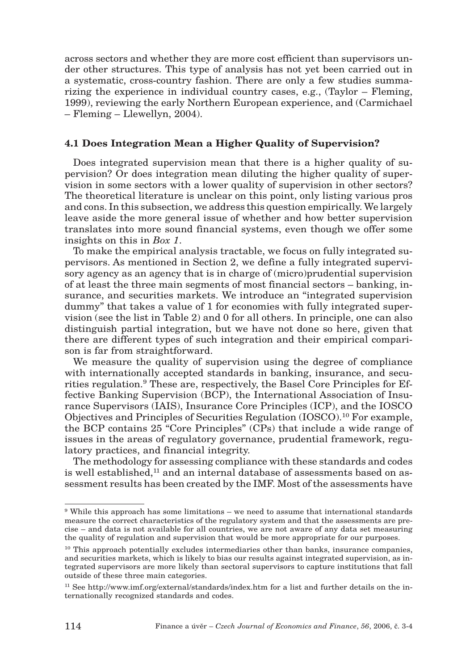across sectors and whether they are more cost efficient than supervisors under other structures. This type of analysis has not yet been carried out in a systematic, cross-country fashion. There are only a few studies summarizing the experience in individual country cases, e.g., (Taylor – Fleming, 1999), reviewing the early Northern European experience, and (Carmichael – Fleming – Llewellyn, 2004).

### **4.1 Does Integration Mean a Higher Quality of Supervision?**

Does integrated supervision mean that there is a higher quality of supervision? Or does integration mean diluting the higher quality of supervision in some sectors with a lower quality of supervision in other sectors? The theoretical literature is unclear on this point, only listing various pros and cons. In this subsection, we address this question empirically. We largely leave aside the more general issue of whether and how better supervision translates into more sound financial systems, even though we offer some insights on this in *Box 1*.

To make the empirical analysis tractable, we focus on fully integrated supervisors. As mentioned in Section 2, we define a fully integrated supervisory agency as an agency that is in charge of (micro)prudential supervision of at least the three main segments of most financial sectors – banking, insurance, and securities markets. We introduce an "integrated supervision dummy" that takes a value of 1 for economies with fully integrated supervision (see the list in Table 2) and 0 for all others. In principle, one can also distinguish partial integration, but we have not done so here, given that there are different types of such integration and their empirical comparison is far from straightforward.

We measure the quality of supervision using the degree of compliance with internationally accepted standards in banking, insurance, and securities regulation.<sup>9</sup> These are, respectively, the Basel Core Principles for Effective Banking Supervision (BCP), the International Association of Insurance Supervisors (IAIS), Insurance Core Principles (ICP), and the IOSCO Objectives and Principles of Securities Regulation (IOSCO).10 For example, the BCP contains 25 "Core Principles" (CPs) that include a wide range of issues in the areas of regulatory governance, prudential framework, regulatory practices, and financial integrity.

The methodology for assessing compliance with these standards and codes is well established, $11$  and an internal database of assessments based on assessment results has been created by the IMF. Most of the assessments have

 $9$  While this approach has some limitations – we need to assume that international standards measure the correct characteristics of the regulatory system and that the assessments are precise – and data is not available for all countries, we are not aware of any data set measuring the quality of regulation and supervision that would be more appropriate for our purposes.

<sup>&</sup>lt;sup>10</sup> This approach potentially excludes intermediaries other than banks, insurance companies, and securities markets, which is likely to bias our results against integrated supervision, as integrated supervisors are more likely than sectoral supervisors to capture institutions that fall outside of these three main categories.

<sup>11</sup> See http://www.imf.org/external/standards/index.htm for a list and further details on the internationally recognized standards and codes.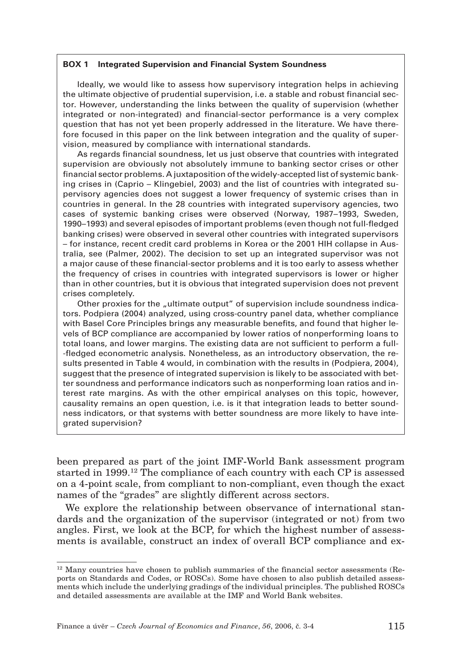#### **BOX 1 Integrated Supervision and Financial System Soundness**

Ideally, we would like to assess how supervisory integration helps in achieving the ultimate objective of prudential supervision, i.e. a stable and robust financial sector. However, understanding the links between the quality of supervision (whether integrated or non-integrated) and financial-sector performance is a very complex question that has not yet been properly addressed in the literature. We have therefore focused in this paper on the link between integration and the quality of supervision, measured by compliance with international standards.

As regards financial soundness, let us just observe that countries with integrated supervision are obviously not absolutely immune to banking sector crises or other financial sector problems. A juxtaposition of the widely-accepted list of systemic banking crises in (Caprio – Klingebiel, 2003) and the list of countries with integrated supervisory agencies does not suggest a lower frequency of systemic crises than in countries in general. In the 28 countries with integrated supervisory agencies, two cases of systemic banking crises were observed (Norway, 1987–1993, Sweden, 1990–1993) and several episodes of important problems (even though not full-fledged banking crises) were observed in several other countries with integrated supervisors – for instance, recent credit card problems in Korea or the 2001 HIH collapse in Australia, see (Palmer, 2002). The decision to set up an integrated supervisor was not a major cause of these financial-sector problems and it is too early to assess whether the frequency of crises in countries with integrated supervisors is lower or higher than in other countries, but it is obvious that integrated supervision does not prevent crises completely.

Other proxies for the "ultimate output" of supervision include soundness indicators. Podpiera (2004) analyzed, using cross-country panel data, whether compliance with Basel Core Principles brings any measurable benefits, and found that higher levels of BCP compliance are accompanied by lower ratios of nonperforming loans to total loans, and lower margins. The existing data are not sufficient to perform a full- -fledged econometric analysis. Nonetheless, as an introductory observation, the results presented in Table 4 would, in combination with the results in (Podpiera, 2004), suggest that the presence of integrated supervision is likely to be associated with better soundness and performance indicators such as nonperforming loan ratios and interest rate margins. As with the other empirical analyses on this topic, however, causality remains an open question, i.e. is it that integration leads to better soundness indicators, or that systems with better soundness are more likely to have integrated supervision?

been prepared as part of the joint IMF-World Bank assessment program started in 1999.12 The compliance of each country with each CP is assessed on a 4-point scale, from compliant to non-compliant, even though the exact names of the "grades" are slightly different across sectors.

We explore the relationship between observance of international standards and the organization of the supervisor (integrated or not) from two angles. First, we look at the BCP, for which the highest number of assessments is available, construct an index of overall BCP compliance and ex-

 $12$  Many countries have chosen to publish summaries of the financial sector assessments (Reports on Standards and Codes, or ROSCs). Some have chosen to also publish detailed assessments which include the underlying gradings of the individual principles. The published ROSCs and detailed assessments are available at the IMF and World Bank websites.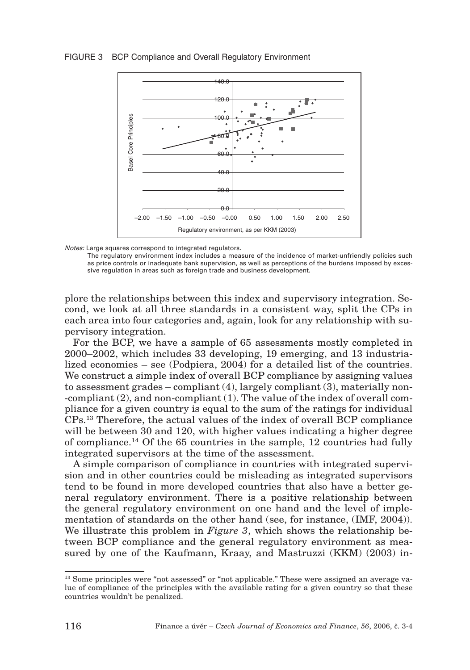#### FIGURE 3 BCP Compliance and Overall Regulatory Environment



*Notes:* Large squares correspond to integrated regulators.

The regulatory environment index includes a measure of the incidence of market-unfriendly policies such as price controls or inadequate bank supervision, as well as perceptions of the burdens imposed by excessive regulation in areas such as foreign trade and business development.

plore the relationships between this index and supervisory integration. Second, we look at all three standards in a consistent way, split the CPs in each area into four categories and, again, look for any relationship with supervisory integration.

For the BCP, we have a sample of 65 assessments mostly completed in 2000–2002, which includes 33 developing, 19 emerging, and 13 industrialized economies – see (Podpiera, 2004) for a detailed list of the countries. We construct a simple index of overall BCP compliance by assigning values to assessment grades  $-\text{compliant}(4)$ , largely compliant  $(3)$ , materially non--compliant (2), and non-compliant (1). The value of the index of overall compliance for a given country is equal to the sum of the ratings for individual CPs.13 Therefore, the actual values of the index of overall BCP compliance will be between 30 and 120, with higher values indicating a higher degree of compliance.14 Of the 65 countries in the sample, 12 countries had fully integrated supervisors at the time of the assessment.

A simple comparison of compliance in countries with integrated supervision and in other countries could be misleading as integrated supervisors tend to be found in more developed countries that also have a better general regulatory environment. There is a positive relationship between the general regulatory environment on one hand and the level of implementation of standards on the other hand (see, for instance, (IMF, 2004)). We illustrate this problem in *Figure 3*, which shows the relationship between BCP compliance and the general regulatory environment as measured by one of the Kaufmann, Kraay, and Mastruzzi (KKM) (2003) in-

<sup>&</sup>lt;sup>13</sup> Some principles were "not assessed" or "not applicable." These were assigned an average value of compliance of the principles with the available rating for a given country so that these countries wouldn't be penalized.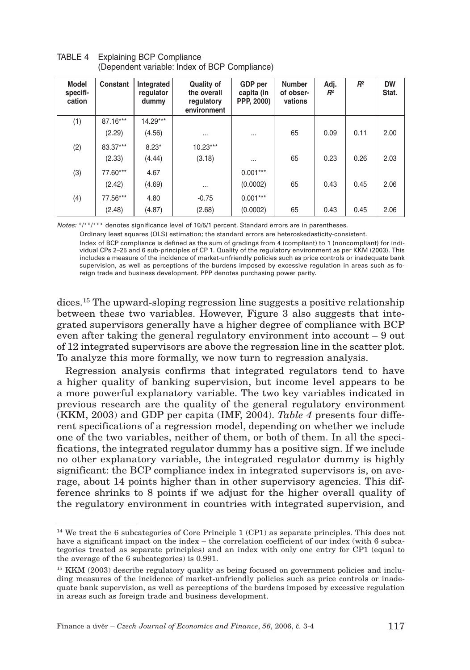| Model<br>specifi-<br>cation | Constant | Integrated<br>regulator<br>dummy | <b>Quality of</b><br>the overall<br>regulatory<br>environment | GDP per<br>capita (in<br>PPP, 2000) | <b>Number</b><br>of obser-<br>vations | Adj.<br>$R^2$ | $R^2$ | <b>DW</b><br>Stat. |
|-----------------------------|----------|----------------------------------|---------------------------------------------------------------|-------------------------------------|---------------------------------------|---------------|-------|--------------------|
| (1)                         | 87.16*** | $14.29***$                       |                                                               |                                     |                                       |               |       |                    |
|                             | (2.29)   | (4.56)                           | $\cdots$                                                      |                                     | 65                                    | 0.09          | 0.11  | 2.00               |
| (2)                         | 83.37*** | $8.23*$                          | $10.23***$                                                    |                                     |                                       |               |       |                    |
|                             | (2.33)   | (4.44)                           | (3.18)                                                        |                                     | 65                                    | 0.23          | 0.26  | 2.03               |
| (3)                         | 77.60*** | 4.67                             |                                                               | $0.001***$                          |                                       |               |       |                    |
|                             | (2.42)   | (4.69)                           | $\cdots$                                                      | (0.0002)                            | 65                                    | 0.43          | 0.45  | 2.06               |
| (4)                         | 77.56*** | 4.80                             | $-0.75$                                                       | $0.001***$                          |                                       |               |       |                    |
|                             | (2.48)   | (4.87)                           | (2.68)                                                        | (0.0002)                            | 65                                    | 0.43          | 0.45  | 2.06               |

TABLE 4 Explaining BCP Compliance (Dependent variable: Index of BCP Compliance)

*Notes:* \*/\*\*/\*\*\* denotes significance level of 10/5/1 percent. Standard errors are in parentheses.

Ordinary least squares (OLS) estimation; the standard errors are heteroskedasticity-consistent.

Index of BCP compliance is defined as the sum of gradings from 4 (compliant) to 1 (noncompliant) for individual CPs 2–25 and 6 sub-principles of CP 1. Quality of the regulatory environment as per KKM (2003). This includes a measure of the incidence of market-unfriendly policies such as price controls or inadequate bank supervision, as well as perceptions of the burdens imposed by excessive regulation in areas such as foreign trade and business development. PPP denotes purchasing power parity.

dices.15 The upward-sloping regression line suggests a positive relationship between these two variables. However, Figure 3 also suggests that integrated supervisors generally have a higher degree of compliance with BCP even after taking the general regulatory environment into account – 9 out of 12 integrated supervisors are above the regression line in the scatter plot. To analyze this more formally, we now turn to regression analysis.

Regression analysis confirms that integrated regulators tend to have a higher quality of banking supervision, but income level appears to be a more powerful explanatory variable. The two key variables indicated in previous research are the quality of the general regulatory environment (KKM, 2003) and GDP per capita (IMF, 2004). *Table 4* presents four different specifications of a regression model, depending on whether we include one of the two variables, neither of them, or both of them. In all the specifications, the integrated regulator dummy has a positive sign. If we include no other explanatory variable, the integrated regulator dummy is highly significant: the BCP compliance index in integrated supervisors is, on average, about 14 points higher than in other supervisory agencies. This difference shrinks to 8 points if we adjust for the higher overall quality of the regulatory environment in countries with integrated supervision, and

<sup>&</sup>lt;sup>14</sup> We treat the 6 subcategories of Core Principle 1 (CP1) as separate principles. This does not have a significant impact on the index – the correlation coefficient of our index (with 6 subcategories treated as separate principles) and an index with only one entry for CP1 (equal to the average of the 6 subcategories) is 0.991.

<sup>&</sup>lt;sup>15</sup> KKM (2003) describe regulatory quality as being focused on government policies and including measures of the incidence of market-unfriendly policies such as price controls or inadequate bank supervision, as well as perceptions of the burdens imposed by excessive regulation in areas such as foreign trade and business development.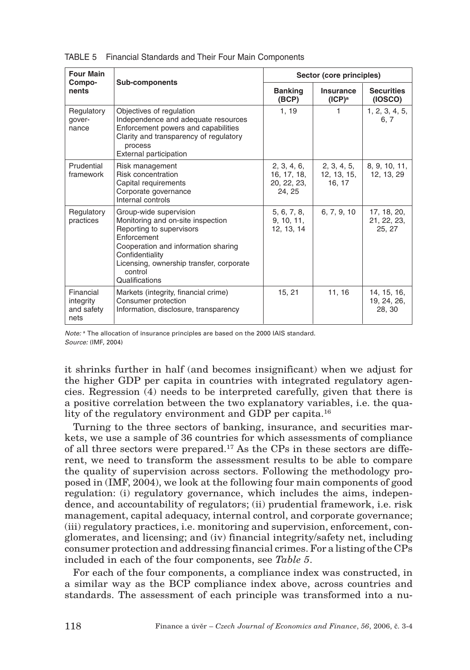| <b>Four Main</b>                             |                                                                                                                                                                                                                                           | Sector (core principles)                           |                                     |                                      |  |  |
|----------------------------------------------|-------------------------------------------------------------------------------------------------------------------------------------------------------------------------------------------------------------------------------------------|----------------------------------------------------|-------------------------------------|--------------------------------------|--|--|
| Compo-<br>nents                              | Sub-components                                                                                                                                                                                                                            | <b>Banking</b><br>(BCP)                            | Insurance<br>$(ICP)^a$              | <b>Securities</b><br>(IOSCO)         |  |  |
| Regulatory<br>qover-<br>nance                | Objectives of regulation<br>Independence and adequate resources<br>Enforcement powers and capabilities<br>Clarity and transparency of regulatory<br>process<br>External participation                                                     | 1.19                                               | 1                                   | 1, 2, 3, 4, 5,<br>6.7                |  |  |
| Prudential<br>framework                      | Risk management<br>Risk concentration<br>Capital requirements<br>Corporate governance<br>Internal controls                                                                                                                                | 2, 3, 4, 6,<br>16, 17, 18,<br>20, 22, 23,<br>24.25 | 2, 3, 4, 5,<br>12, 13, 15,<br>16.17 | 8, 9, 10, 11,<br>12, 13, 29          |  |  |
| Regulatory<br>practices                      | Group-wide supervision<br>Monitoring and on-site inspection<br>Reporting to supervisors<br>Enforcement<br>Cooperation and information sharing<br>Confidentiality<br>Licensing, ownership transfer, corporate<br>control<br>Qualifications | 5, 6, 7, 8,<br>9, 10, 11,<br>12, 13, 14            | 6, 7, 9, 10                         | 17, 18, 20,<br>21, 22, 23,<br>25.27  |  |  |
| Financial<br>integrity<br>and safety<br>nets | Markets (integrity, financial crime)<br>Consumer protection<br>Information, disclosure, transparency                                                                                                                                      | 15, 21                                             | 11, 16                              | 14, 15, 16,<br>19, 24, 26,<br>28, 30 |  |  |

TABLE 5 Financial Standards and Their Four Main Components

*Note:* <sup>a</sup> The allocation of insurance principles are based on the 2000 IAIS standard. *Source:* (IMF, 2004)

it shrinks further in half (and becomes insignificant) when we adjust for the higher GDP per capita in countries with integrated regulatory agencies. Regression (4) needs to be interpreted carefully, given that there is a positive correlation between the two explanatory variables, i.e. the quality of the regulatory environment and GDP per capita.<sup>16</sup>

Turning to the three sectors of banking, insurance, and securities markets, we use a sample of 36 countries for which assessments of compliance of all three sectors were prepared.17 As the CPs in these sectors are different, we need to transform the assessment results to be able to compare the quality of supervision across sectors. Following the methodology proposed in (IMF, 2004), we look at the following four main components of good regulation: (i) regulatory governance, which includes the aims, independence, and accountability of regulators; (ii) prudential framework, i.e. risk management, capital adequacy, internal control, and corporate governance; (iii) regulatory practices, i.e. monitoring and supervision, enforcement, conglomerates, and licensing; and (iv) financial integrity/safety net, including consumer protection and addressing financial crimes. For a listing of the CPs included in each of the four components, see *Table 5*.

For each of the four components, a compliance index was constructed, in a similar way as the BCP compliance index above, across countries and standards. The assessment of each principle was transformed into a nu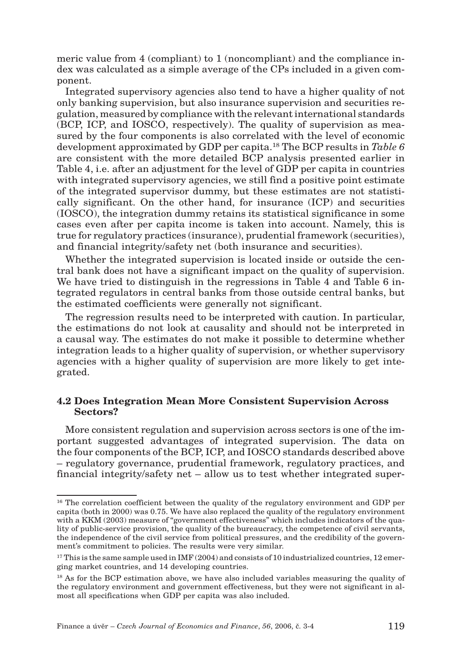meric value from 4 (compliant) to 1 (noncompliant) and the compliance index was calculated as a simple average of the CPs included in a given component.

Integrated supervisory agencies also tend to have a higher quality of not only banking supervision, but also insurance supervision and securities regulation, measured by compliance with the relevant international standards (BCP, ICP, and IOSCO, respectively). The quality of supervision as measured by the four components is also correlated with the level of economic development approximated by GDP per capita.18 The BCP results in *Table 6* are consistent with the more detailed BCP analysis presented earlier in Table 4, i.e. after an adjustment for the level of GDP per capita in countries with integrated supervisory agencies, we still find a positive point estimate of the integrated supervisor dummy, but these estimates are not statistically significant. On the other hand, for insurance (ICP) and securities (IOSCO), the integration dummy retains its statistical significance in some cases even after per capita income is taken into account. Namely, this is true for regulatory practices (insurance), prudential framework (securities), and financial integrity/safety net (both insurance and securities).

Whether the integrated supervision is located inside or outside the central bank does not have a significant impact on the quality of supervision. We have tried to distinguish in the regressions in Table 4 and Table 6 integrated regulators in central banks from those outside central banks, but the estimated coefficients were generally not significant.

The regression results need to be interpreted with caution. In particular, the estimations do not look at causality and should not be interpreted in a causal way. The estimates do not make it possible to determine whether integration leads to a higher quality of supervision, or whether supervisory agencies with a higher quality of supervision are more likely to get integrated.

#### **4.2 Does Integration Mean More Consistent Supervision Across Sectors?**

More consistent regulation and supervision across sectors is one of the important suggested advantages of integrated supervision. The data on the four components of the BCP, ICP, and IOSCO standards described above – regulatory governance, prudential framework, regulatory practices, and financial integrity/safety net – allow us to test whether integrated super-

<sup>&</sup>lt;sup>16</sup> The correlation coefficient between the quality of the regulatory environment and GDP per capita (both in 2000) was 0.75. We have also replaced the quality of the regulatory environment with a KKM (2003) measure of "government effectiveness" which includes indicators of the quality of public-service provision, the quality of the bureaucracy, the competence of civil servants, the independence of the civil service from political pressures, and the credibility of the government's commitment to policies. The results were very similar.

 $17$  This is the same sample used in IMF (2004) and consists of 10 industrialized countries, 12 emerging market countries, and 14 developing countries.

<sup>&</sup>lt;sup>18</sup> As for the BCP estimation above, we have also included variables measuring the quality of the regulatory environment and government effectiveness, but they were not significant in almost all specifications when GDP per capita was also included.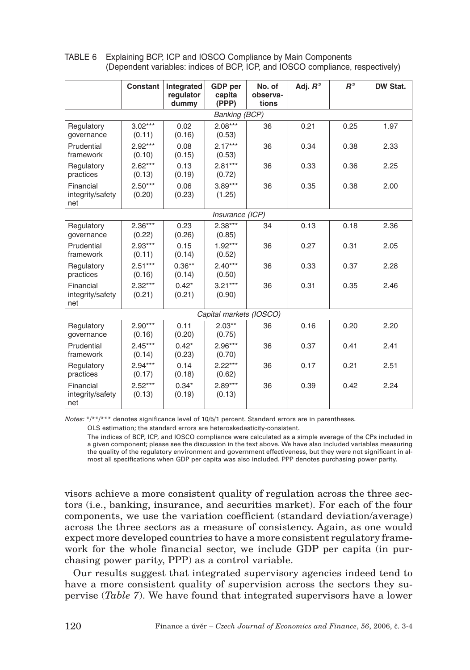| Constant                             |                                                              | Integrated<br>regulator<br>dummy | <b>GDP</b> per<br>capita<br>(PPP) | No. of<br>observa-<br>tions | Adj. $R^2$ | R <sup>2</sup> | DW Stat. |
|--------------------------------------|--------------------------------------------------------------|----------------------------------|-----------------------------------|-----------------------------|------------|----------------|----------|
|                                      |                                                              |                                  | <b>Banking (BCP)</b>              |                             |            |                |          |
| Regulatory<br>governance             | $3.02***$<br>(0.11)                                          | 0.02<br>(0.16)                   | $2.08***$<br>(0.53)               | 36                          | 0.21       | 0.25           | 1.97     |
| Prudential<br>framework              | $2.92***$<br>(0.10)                                          | 0.08<br>(0.15)                   | $2.17***$<br>(0.53)               | 36                          | 0.34       | 0.38           | 2.33     |
| Regulatory<br>practices              | $2.62***$<br>$2.81***$<br>0.13<br>(0.13)<br>(0.19)<br>(0.72) |                                  |                                   | 36                          | 0.33       | 0.36           | 2.25     |
| Financial<br>integrity/safety<br>net | $2.50***$<br>(0.20)                                          | 0.06<br>(0.23)                   | $3.89***$<br>(1.25)               | 36                          | 0.35       | 0.38           | 2.00     |
| Insurance (ICP)                      |                                                              |                                  |                                   |                             |            |                |          |
| Regulatory<br>governance             | $2.36***$<br>(0.22)                                          | 0.23<br>(0.26)                   | $2.38***$<br>(0.85)               | 34                          | 0.13       | 0.18           | 2.36     |
| Prudential<br>framework              | $2.93***$<br>0.15<br>(0.14)<br>(0.11)                        |                                  | $1.92***$<br>(0.52)               | 36                          | 0.27       | 0.31           | 2.05     |
| Regulatory<br>practices              | $2.51***$<br>$0.36**$<br>(0.16)<br>(0.14)                    |                                  | $2.40***$<br>(0.50)               | 36                          | 0.33       | 0.37           | 2.28     |
| Financial<br>integrity/safety<br>net | $2.32***$<br>$0.42*$<br>(0.21)<br>(0.21)                     |                                  | $3.21***$<br>(0.90)               | 36                          | 0.31       | 0.35           | 2.46     |
|                                      |                                                              |                                  | Capital markets (IOSCO)           |                             |            |                |          |
| Regulatory<br>governance             | $2.90***$<br>(0.16)                                          | 0.11<br>(0.20)                   | $2.03**$<br>(0.75)                | 36                          | 0.16       | 0.20           | 2.20     |
| Prudential<br>framework              | $2.45***$<br>(0.14)                                          | $0.42*$<br>(0.23)                | $2.96***$<br>(0.70)               | 36                          | 0.37       | 0.41           | 2.41     |
| Regulatory<br>practices              | $2.94***$<br>(0.17)                                          | 0.14<br>(0.18)                   | $2.22***$<br>(0.62)               | 36                          | 0.17       | 0.21           | 2.51     |
| Financial<br>integrity/safety<br>net | $2.52***$<br>(0.13)                                          | $0.34*$<br>(0.19)                | $2.89***$<br>(0.13)               | 36                          | 0.39       | 0.42           | 2.24     |

TABLE 6 Explaining BCP, ICP and IOSCO Compliance by Main Components (Dependent variables: indices of BCP, ICP, and IOSCO compliance, respectively)

*Notes:* \*/\*\*/\*\*\* denotes significance level of 10/5/1 percent. Standard errors are in parentheses.

OLS estimation; the standard errors are heteroskedasticity-consistent.

The indices of BCP, ICP, and IOSCO compliance were calculated as a simple average of the CPs included in a given component; please see the discussion in the text above. We have also included variables measuring the quality of the regulatory environment and government effectiveness, but they were not significant in almost all specifications when GDP per capita was also included. PPP denotes purchasing power parity.

visors achieve a more consistent quality of regulation across the three sectors (i.e., banking, insurance, and securities market). For each of the four components, we use the variation coefficient (standard deviation/average) across the three sectors as a measure of consistency. Again, as one would expect more developed countries to have a more consistent regulatory framework for the whole financial sector, we include GDP per capita (in purchasing power parity, PPP) as a control variable.

Our results suggest that integrated supervisory agencies indeed tend to have a more consistent quality of supervision across the sectors they supervise (*Table 7*). We have found that integrated supervisors have a lower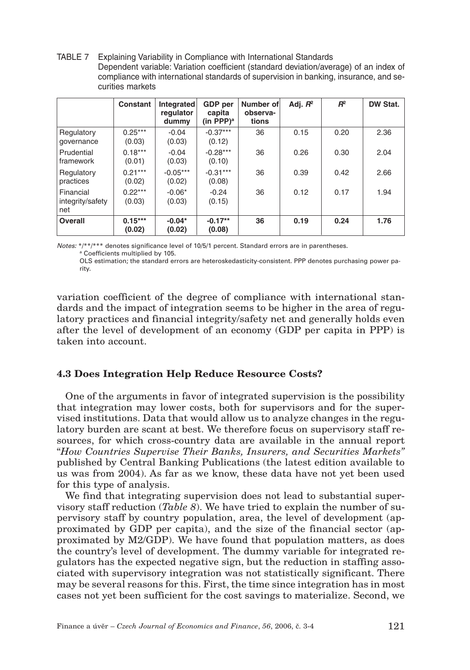TABLE 7 Explaining Variability in Compliance with International Standards Dependent variable: Variation coefficient (standard deviation/average) of an index of compliance with international standards of supervision in banking, insurance, and securities markets

|                                      | Constant            | Integrated<br>regulator<br>dummy | GDP per<br>capita<br>(in PPP) $^{\rm a}$ | Number of<br>observa-<br>tions | Adj. $R^2$ | $R^2$ | DW Stat. |
|--------------------------------------|---------------------|----------------------------------|------------------------------------------|--------------------------------|------------|-------|----------|
| Regulatory<br>governance             | $0.25***$<br>(0.03) | $-0.04$<br>(0.03)                | $-0.37***$<br>(0.12)                     | 36                             | 0.15       | 0.20  | 2.36     |
| Prudential<br>framework              | $0.18***$<br>(0.01) | $-0.04$<br>(0.03)                | $-0.28***$<br>(0.10)                     | 36                             | 0.26       | 0.30  | 2.04     |
| Regulatory<br>practices              | $0.21***$<br>(0.02) | $-0.05***$<br>(0.02)             | $-0.31***$<br>(0.08)                     | 36                             | 0.39       | 0.42  | 2.66     |
| Financial<br>integrity/safety<br>net | $0.22***$<br>(0.03) | $-0.06*$<br>(0.03)               | $-0.24$<br>(0.15)                        | 36                             | 0.12       | 0.17  | 1.94     |
| Overall                              | $0.15***$<br>(0.02) | $-0.04*$<br>(0.02)               | $-0.17**$<br>(0.08)                      | 36                             | 0.19       | 0.24  | 1.76     |

*Notes:* \*/\*\*/\*\*\* denotes significance level of 10/5/1 percent. Standard errors are in parentheses. <sup>a</sup> Coefficients multiplied by 105.

OLS estimation; the standard errors are heteroskedasticity-consistent. PPP denotes purchasing power parity.

variation coefficient of the degree of compliance with international standards and the impact of integration seems to be higher in the area of regulatory practices and financial integrity/safety net and generally holds even after the level of development of an economy (GDP per capita in PPP) is taken into account.

# **4.3 Does Integration Help Reduce Resource Costs?**

One of the arguments in favor of integrated supervision is the possibility that integration may lower costs, both for supervisors and for the supervised institutions. Data that would allow us to analyze changes in the regulatory burden are scant at best. We therefore focus on supervisory staff resources, for which cross-country data are available in the annual report "*How Countries Supervise Their Banks, Insurers, and Securities Markets"* published by Central Banking Publications (the latest edition available to us was from 2004). As far as we know, these data have not yet been used for this type of analysis.

We find that integrating supervision does not lead to substantial supervisory staff reduction (*Table 8*). We have tried to explain the number of supervisory staff by country population, area, the level of development (approximated by GDP per capita), and the size of the financial sector (approximated by M2/GDP). We have found that population matters, as does the country's level of development. The dummy variable for integrated regulators has the expected negative sign, but the reduction in staffing associated with supervisory integration was not statistically significant. There may be several reasons for this. First, the time since integration has in most cases not yet been sufficient for the cost savings to materialize. Second, we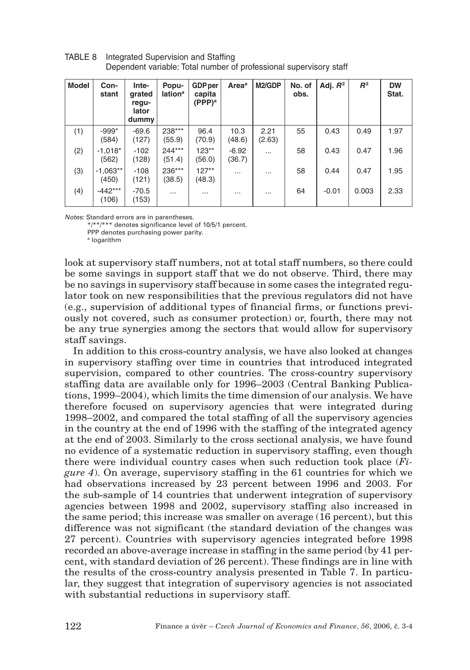| <b>Model</b> | Con-<br>stant       | Inte-<br>grated<br>regu-<br>lator<br>dummy | Popu-<br><b>lation</b> <sup>a</sup> | <b>GDP</b> per<br>capita<br>$(PPP)^a$ | <b>Area</b> <sup>a</sup> | M2/GDP         | No. of<br>obs. | Adj. $R^2$ | R <sup>2</sup> | <b>DW</b><br>Stat. |
|--------------|---------------------|--------------------------------------------|-------------------------------------|---------------------------------------|--------------------------|----------------|----------------|------------|----------------|--------------------|
| (1)          | $-999*$<br>(584)    | $-69.6$<br>(127)                           | 238***<br>(55.9)                    | 96.4<br>(70.9)                        | 10.3<br>(48.6)           | 2.21<br>(2.63) | 55             | 0.43       | 0.49           | 1.97               |
| (2)          | $-1,018*$<br>(562)  | $-102$<br>(128)                            | 244***<br>(51.4)                    | $123**$<br>(56.0)                     | $-6.92$<br>(36.7)        | $\cdots$       | 58             | 0.43       | 0.47           | 1.96               |
| (3)          | $-1,063**$<br>(450) | $-108$<br>(121)                            | 236***<br>(38.5)                    | $127**$<br>(48.3)                     | $\cdots$                 | .              | 58             | 0.44       | 0.47           | 1.95               |
| (4)          | $-442***$<br>(106)  | $-70.5$<br>(153)                           | $\cdots$                            | $\cdots$                              | $\cdots$                 | $\cdots$       | 64             | $-0.01$    | 0.003          | 2.33               |

TABLE 8 Integrated Supervision and Staffing Dependent variable: Total number of professional supervisory staff

*Notes:* Standard errors are in parentheses.

\*/\*\*/\*\*\* denotes significance level of 10/5/1 percent.

PPP denotes purchasing power parity.

a logarithm

look at supervisory staff numbers, not at total staff numbers, so there could be some savings in support staff that we do not observe. Third, there may be no savings in supervisory staff because in some cases the integrated regulator took on new responsibilities that the previous regulators did not have (e.g., supervision of additional types of financial firms, or functions previously not covered, such as consumer protection) or, fourth, there may not be any true synergies among the sectors that would allow for supervisory staff savings.

In addition to this cross-country analysis, we have also looked at changes in supervisory staffing over time in countries that introduced integrated supervision, compared to other countries. The cross-country supervisory staffing data are available only for 1996–2003 (Central Banking Publications, 1999–2004), which limits the time dimension of our analysis. We have therefore focused on supervisory agencies that were integrated during 1998–2002, and compared the total staffing of all the supervisory agencies in the country at the end of 1996 with the staffing of the integrated agency at the end of 2003. Similarly to the cross sectional analysis, we have found no evidence of a systematic reduction in supervisory staffing, even though there were individual country cases when such reduction took place (*Figure 4*). On average, supervisory staffing in the 61 countries for which we had observations increased by 23 percent between 1996 and 2003. For the sub-sample of 14 countries that underwent integration of supervisory agencies between 1998 and 2002, supervisory staffing also increased in the same period; this increase was smaller on average (16 percent), but this difference was not significant (the standard deviation of the changes was 27 percent). Countries with supervisory agencies integrated before 1998 recorded an above-average increase in staffing in the same period (by 41 percent, with standard deviation of 26 percent). These findings are in line with the results of the cross-country analysis presented in Table 7. In particular, they suggest that integration of supervisory agencies is not associated with substantial reductions in supervisory staff.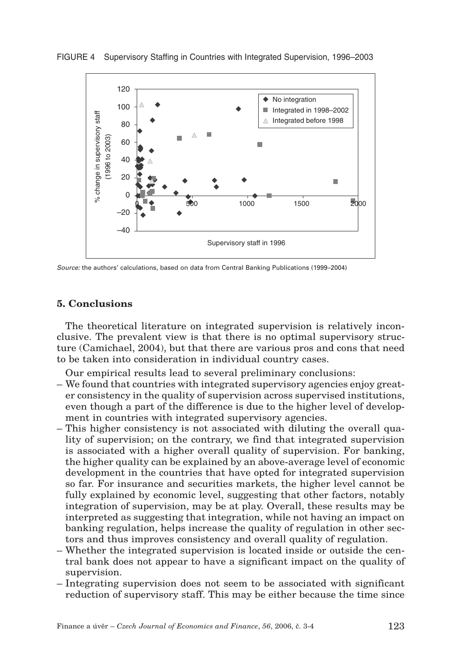

FIGURE 4 Supervisory Staffing in Countries with Integrated Supervision, 1996–2003

*Source:* the authors' calculations, based on data from Central Banking Publications (1999–2004)

#### **5. Conclusions**

The theoretical literature on integrated supervision is relatively inconclusive. The prevalent view is that there is no optimal supervisory structure (Camichael, 2004), but that there are various pros and cons that need to be taken into consideration in individual country cases.

Our empirical results lead to several preliminary conclusions:

- We found that countries with integrated supervisory agencies enjoy greater consistency in the quality of supervision across supervised institutions, even though a part of the difference is due to the higher level of development in countries with integrated supervisory agencies.
- This higher consistency is not associated with diluting the overall quality of supervision; on the contrary, we find that integrated supervision is associated with a higher overall quality of supervision. For banking, the higher quality can be explained by an above-average level of economic development in the countries that have opted for integrated supervision so far. For insurance and securities markets, the higher level cannot be fully explained by economic level, suggesting that other factors, notably integration of supervision, may be at play. Overall, these results may be interpreted as suggesting that integration, while not having an impact on banking regulation, helps increase the quality of regulation in other sectors and thus improves consistency and overall quality of regulation.
- Whether the integrated supervision is located inside or outside the central bank does not appear to have a significant impact on the quality of supervision.
- Integrating supervision does not seem to be associated with significant reduction of supervisory staff. This may be either because the time since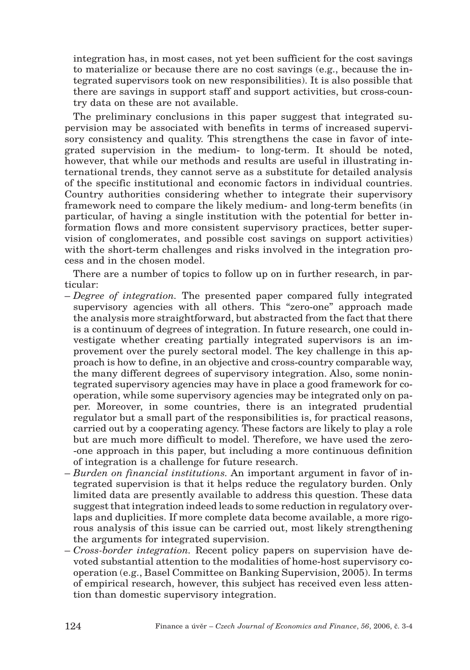integration has, in most cases, not yet been sufficient for the cost savings to materialize or because there are no cost savings (e.g., because the integrated supervisors took on new responsibilities). It is also possible that there are savings in support staff and support activities, but cross-country data on these are not available.

The preliminary conclusions in this paper suggest that integrated supervision may be associated with benefits in terms of increased supervisory consistency and quality. This strengthens the case in favor of integrated supervision in the medium- to long-term. It should be noted, however, that while our methods and results are useful in illustrating international trends, they cannot serve as a substitute for detailed analysis of the specific institutional and economic factors in individual countries. Country authorities considering whether to integrate their supervisory framework need to compare the likely medium- and long-term benefits (in particular, of having a single institution with the potential for better information flows and more consistent supervisory practices, better supervision of conglomerates, and possible cost savings on support activities) with the short-term challenges and risks involved in the integration process and in the chosen model.

There are a number of topics to follow up on in further research, in particular:

- *Degree of integration.* The presented paper compared fully integrated supervisory agencies with all others. This "zero-one" approach made the analysis more straightforward, but abstracted from the fact that there is a continuum of degrees of integration. In future research, one could investigate whether creating partially integrated supervisors is an improvement over the purely sectoral model. The key challenge in this approach is how to define, in an objective and cross-country comparable way, the many different degrees of supervisory integration. Also, some nonintegrated supervisory agencies may have in place a good framework for cooperation, while some supervisory agencies may be integrated only on paper. Moreover, in some countries, there is an integrated prudential regulator but a small part of the responsibilities is, for practical reasons, carried out by a cooperating agency. These factors are likely to play a role but are much more difficult to model. Therefore, we have used the zero- -one approach in this paper, but including a more continuous definition of integration is a challenge for future research.
- *Burden on financial institutions.* An important argument in favor of integrated supervision is that it helps reduce the regulatory burden. Only limited data are presently available to address this question. These data suggest that integration indeed leads to some reduction in regulatory overlaps and duplicities. If more complete data become available, a more rigorous analysis of this issue can be carried out, most likely strengthening the arguments for integrated supervision.
- *Cross-border integration.* Recent policy papers on supervision have devoted substantial attention to the modalities of home-host supervisory cooperation (e.g., Basel Committee on Banking Supervision, 2005). In terms of empirical research, however, this subject has received even less attention than domestic supervisory integration.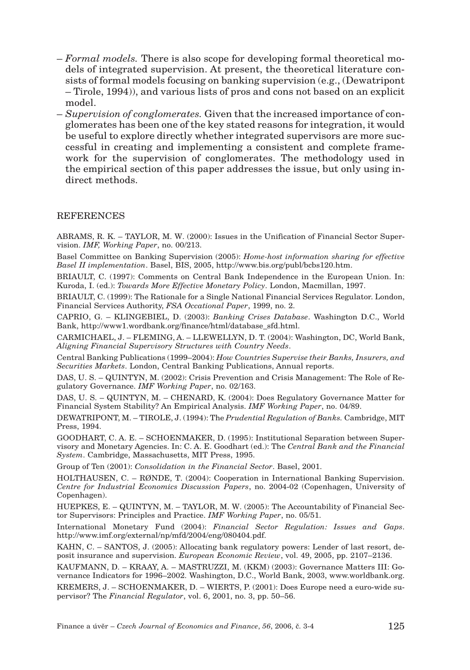- *Formal models.* There is also scope for developing formal theoretical models of integrated supervision. At present, the theoretical literature consists of formal models focusing on banking supervision (e.g., (Dewatripont – Tirole, 1994)), and various lists of pros and cons not based on an explicit model.
- *Supervision of conglomerates.* Given that the increased importance of conglomerates has been one of the key stated reasons for integration, it would be useful to explore directly whether integrated supervisors are more successful in creating and implementing a consistent and complete framework for the supervision of conglomerates. The methodology used in the empirical section of this paper addresses the issue, but only using indirect methods.

#### **REFERENCES**

ABRAMS, R. K. – TAYLOR, M. W. (2000): Issues in the Unification of Financial Sector Supervision. *IMF, Working Paper*, no. 00/213.

Basel Committee on Banking Supervision (2005): *Home-host information sharing for effective Basel II implementation*. Basel, BIS, 2005, http://www.bis.org/publ/bcbs120.htm.

BRIAULT, C. (1997): Comments on Central Bank Independence in the European Union. In: Kuroda, I. (ed.): *Towards More Effective Monetary Policy*. London, Macmillan, 1997.

BRIAULT, C. (1999): The Rationale for a Single National Financial Services Regulator. London, Financial Services Authority, *FSA Occational Paper*, 1999, no. 2.

CAPRIO, G. – KLINGEBIEL, D. (2003): *Banking Crises Database*. Washington D.C., World Bank, http://www1.wordbank.org/finance/html/database\_sfd.html.

CARMICHAEL, J. – FLEMING, A. – LLEWELLYN, D. T. (2004): Washington, DC, World Bank, *Aligning Financial Supervisory Structures with Country Needs*.

Central Banking Publications (1999–2004): *How Countries Supervise their Banks, Insurers, and Securities Markets*. London, Central Banking Publications, Annual reports.

DAS, U. S. – QUINTYN, M. (2002): Crisis Prevention and Crisis Management: The Role of Regulatory Governance. *IMF Working Paper*, no. 02/163.

DAS, U. S. – QUINTYN, M. – CHENARD, K. (2004): Does Regulatory Governance Matter for Financial System Stability? An Empirical Analysis. *IMF Working Paper*, no. 04/89.

DEWATRIPONT, M. – TIROLE, J. (1994): The *Prudential Regulation of Banks.* Cambridge, MIT Press, 1994.

GOODHART, C. A. E. – SCHOENMAKER, D. (1995): Institutional Separation between Supervisory and Monetary Agencies. In: C. A. E. Goodhart (ed.): The *Central Bank and the Financial System*. Cambridge, Massachusetts, MIT Press, 1995.

Group of Ten (2001): *Consolidation in the Financial Sector*. Basel, 2001.

HOLTHAUSEN, C. – RØNDE, T. (2004): Cooperation in International Banking Supervision. *Centre for Industrial Economics Discussion Papers*, no. 2004-02 (Copenhagen, University of Copenhagen).

HUEPKES, E. – QUINTYN, M. – TAYLOR, M. W. (2005): The Accountability of Financial Sector Supervisors: Principles and Practice. *IMF Working Paper*, no. 05/51.

International Monetary Fund (2004): *Financial Sector Regulation: Issues and Gaps*. http://www.imf.org/external/np/mfd/2004/eng/080404.pdf.

KAHN, C. – SANTOS, J. (2005): Allocating bank regulatory powers: Lender of last resort, deposit insurance and supervision. *European Economic Review*, vol. 49, 2005, pp. 2107–2136.

KAUFMANN, D. – KRAAY, A. – MASTRUZZI, M. (KKM) (2003): Governance Matters III: Governance Indicators for 1996–2002. Washington, D.C., World Bank, 2003, www.worldbank.org. KREMERS, J. – SCHOENMAKER, D. – WIERTS, P. (2001): Does Europe need a euro-wide supervisor? The *Financial Regulator*, vol. 6, 2001, no. 3, pp. 50–56.